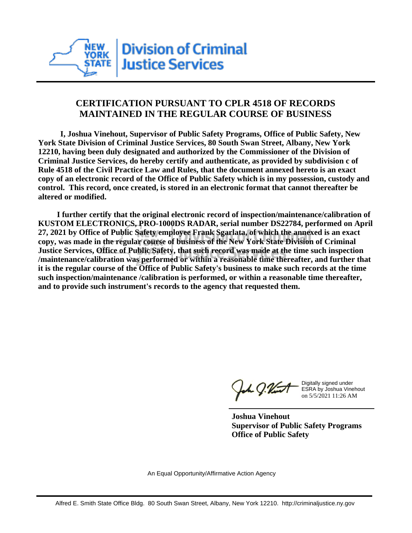

## **CERTIFICATION PURSUANT TO CPLR 4518 OF RECORDS MAINTAINED IN THE REGULAR COURSE OF BUSINESS**

 **I, Joshua Vinehout, Supervisor of Public Safety Programs, Office of Public Safety, New York State Division of Criminal Justice Services, 80 South Swan Street, Albany, New York 12210, having been duly designated and authorized by the Commissioner of the Division of Criminal Justice Services, do hereby certify and authenticate, as provided by subdivision c of Rule 4518 of the Civil Practice Law and Rules, that the document annexed hereto is an exact copy of an electronic record of the Office of Public Safety which is in my possession, custody and control. This record, once created, is stored in an electronic format that cannot thereafter be altered or modified.**

 **I further certify that the original electronic record of inspection/maintenance/calibration of KUSTOM ELECTRONICS, PRO-1000DS RADAR, serial number DS22784, performed on April 27, 2021 by Office of Public Safety employee Frank Sgarlata, of which the annexed is an exact copy, was made in the regular course of business of the New York State Division of Criminal Justice Services, Office of Public Safety, that such record was made at the time such inspection /maintenance/calibration was performed or within a reasonable time thereafter, and further that it is the regular course of the Office of Public Safety's business to make such records at the time such inspection/maintenance /calibration is performed, or within a reasonable time thereafter, and to provide such instrument's records to the agency that requested them.**

the J. Vint

Digitally signed under ESRA by Joshua Vinehout on 5/5/2021 11:26 AM

**Joshua Vinehout Supervisor of Public Safety Programs Office of Public Safety**

An Equal Opportunity/Affirmative Action Agency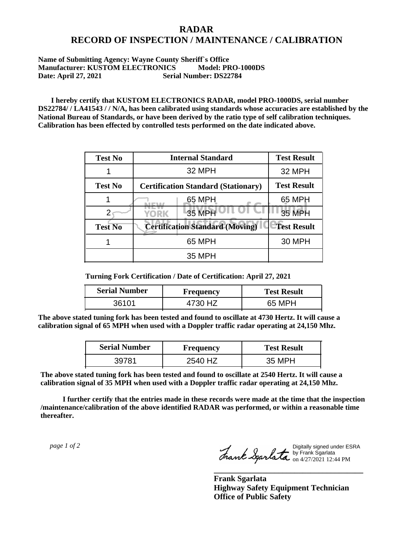## **RADAR RECORD OF INSPECTION / MAINTENANCE / CALIBRATION**

## **Name of Submitting Agency: Wayne County Sheriff`s Office Manufacturer: KUSTOM ELECTRONICS Model: PRO-1000DS Date: April 27, 2021 Serial Number: DS22784**

 **I hereby certify that KUSTOM ELECTRONICS RADAR, model PRO-1000DS, serial number DS22784/ / LA41543 / / N/A, has been calibrated using standards whose accuracies are established by the National Bureau of Standards, or have been derived by the ratio type of self calibration techniques. Calibration has been effected by controlled tests performed on the date indicated above.**

| <b>Test No</b> | <b>Internal Standard</b>                   | <b>Test Result</b> |
|----------------|--------------------------------------------|--------------------|
|                | 32 MPH                                     | 32 MPH             |
| <b>Test No</b> | <b>Certification Standard (Stationary)</b> | <b>Test Result</b> |
|                | 65 MPH                                     | 65 MPH             |
|                | 35 MPH<br>YORK                             | 35 MPH             |
| <b>Test No</b> | <b>Certification Standard (Moving)</b>     | <b>Test Result</b> |
|                | 65 MPH                                     | <b>30 MPH</b>      |
|                | <b>35 MPH</b>                              |                    |

**Turning Fork Certification / Date of Certification: April 27, 2021**

| <b>Serial Number</b> | Frequency | <b>Test Result</b> |
|----------------------|-----------|--------------------|
| 36101                |           | 65 MPH             |

**The above stated tuning fork has been tested and found to oscillate at 4730 Hertz. It will cause a calibration signal of 65 MPH when used with a Doppler traffic radar operating at 24,150 Mhz.**

| <b>Serial Number</b> | <b>Frequency</b> | <b>Test Result</b> |
|----------------------|------------------|--------------------|
| 39781                | 2540 HZ          | 35 MPH             |

**The above stated tuning fork has been tested and found to oscillate at 2540 Hertz. It will cause a calibration signal of 35 MPH when used with a Doppler traffic radar operating at 24,150 Mhz.**

 **I further certify that the entries made in these records were made at the time that the inspection /maintenance/calibration of the above identified RADAR was performed, or within a reasonable time thereafter.**

 *page 1 of 2* 

Digitally signed under ESRA by Frank Sgarlata on 4/27/2021 12:44 PM

**\_\_\_\_\_\_\_\_\_\_\_\_\_\_\_\_\_\_\_\_\_\_\_\_\_\_\_\_\_\_\_\_\_\_\_\_\_**

**Frank Sgarlata Highway Safety Equipment Technician Office of Public Safety**